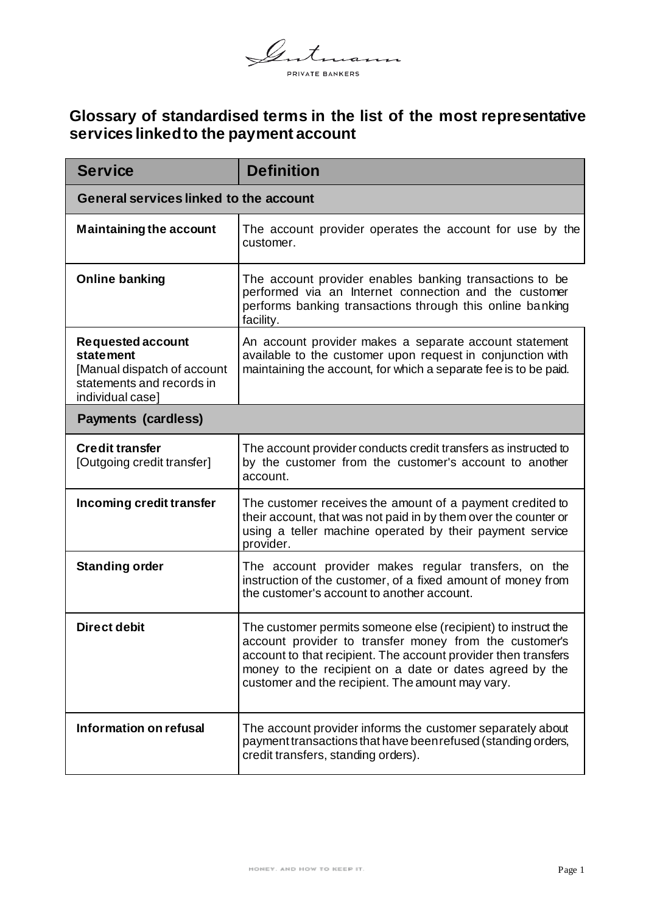

## **Glossary of standardised terms in the list of the most representative services linked to the payment account**

| <b>Service</b>                                                                                                               | <b>Definition</b>                                                                                                                                                                                                                                                                                        |  |
|------------------------------------------------------------------------------------------------------------------------------|----------------------------------------------------------------------------------------------------------------------------------------------------------------------------------------------------------------------------------------------------------------------------------------------------------|--|
| <b>General services linked to the account</b>                                                                                |                                                                                                                                                                                                                                                                                                          |  |
| <b>Maintaining the account</b>                                                                                               | The account provider operates the account for use by the<br>customer.                                                                                                                                                                                                                                    |  |
| <b>Online banking</b>                                                                                                        | The account provider enables banking transactions to be<br>performed via an Internet connection and the customer<br>performs banking transactions through this online banking<br>facility.                                                                                                               |  |
| <b>Requested account</b><br><b>statement</b><br>[Manual dispatch of account<br>statements and records in<br>individual case] | An account provider makes a separate account statement<br>available to the customer upon request in conjunction with<br>maintaining the account, for which a separate fee is to be paid.                                                                                                                 |  |
| <b>Payments (cardless)</b>                                                                                                   |                                                                                                                                                                                                                                                                                                          |  |
| <b>Credit transfer</b><br>[Outgoing credit transfer]                                                                         | The account provider conducts credit transfers as instructed to<br>by the customer from the customer's account to another<br>account.                                                                                                                                                                    |  |
| Incoming credit transfer                                                                                                     | The customer receives the amount of a payment credited to<br>their account, that was not paid in by them over the counter or<br>using a teller machine operated by their payment service<br>provider.                                                                                                    |  |
| <b>Standing order</b>                                                                                                        | The account provider makes regular transfers, on the<br>instruction of the customer, of a fixed amount of money from<br>the customer's account to another account.                                                                                                                                       |  |
| <b>Direct debit</b>                                                                                                          | The customer permits someone else (recipient) to instruct the<br>account provider to transfer money from the customer's<br>account to that recipient. The account provider then transfers<br>money to the recipient on a date or dates agreed by the<br>customer and the recipient. The amount may vary. |  |
| Information on refusal                                                                                                       | The account provider informs the customer separately about<br>payment transactions that have been refused (standing orders,<br>credit transfers, standing orders).                                                                                                                                       |  |